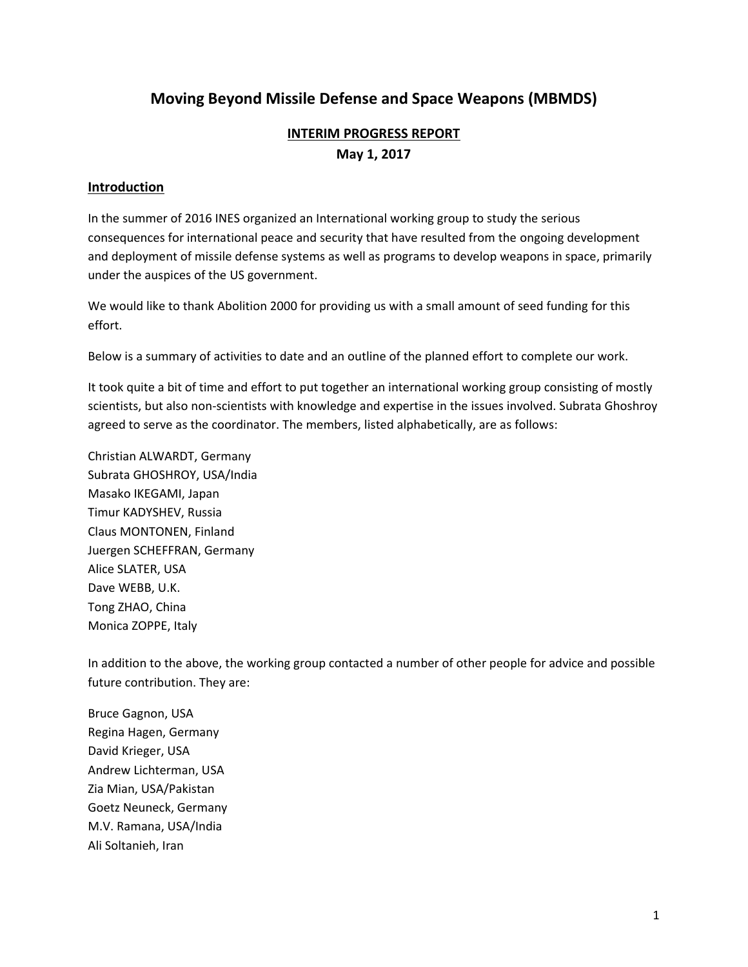# **Moving Beyond Missile Defense and Space Weapons (MBMDS)**

# **INTERIM PROGRESS REPORT May 1, 2017**

### **Introduction**

In the summer of 2016 INES organized an International working group to study the serious consequences for international peace and security that have resulted from the ongoing development and deployment of missile defense systems as well as programs to develop weapons in space, primarily under the auspices of the US government.

We would like to thank Abolition 2000 for providing us with a small amount of seed funding for this effort.

Below is a summary of activities to date and an outline of the planned effort to complete our work.

It took quite a bit of time and effort to put together an international working group consisting of mostly scientists, but also non-scientists with knowledge and expertise in the issues involved. Subrata Ghoshroy agreed to serve as the coordinator. The members, listed alphabetically, are as follows:

Christian ALWARDT, Germany Subrata GHOSHROY, USA/India Masako IKEGAMI, Japan Timur KADYSHEV, Russia Claus MONTONEN, Finland Juergen SCHEFFRAN, Germany Alice SLATER, USA Dave WEBB, U.K. Tong ZHAO, China Monica ZOPPE, Italy

In addition to the above, the working group contacted a number of other people for advice and possible future contribution. They are:

Bruce Gagnon, USA Regina Hagen, Germany David Krieger, USA Andrew Lichterman, USA Zia Mian, USA/Pakistan Goetz Neuneck, Germany M.V. Ramana, USA/India Ali Soltanieh, Iran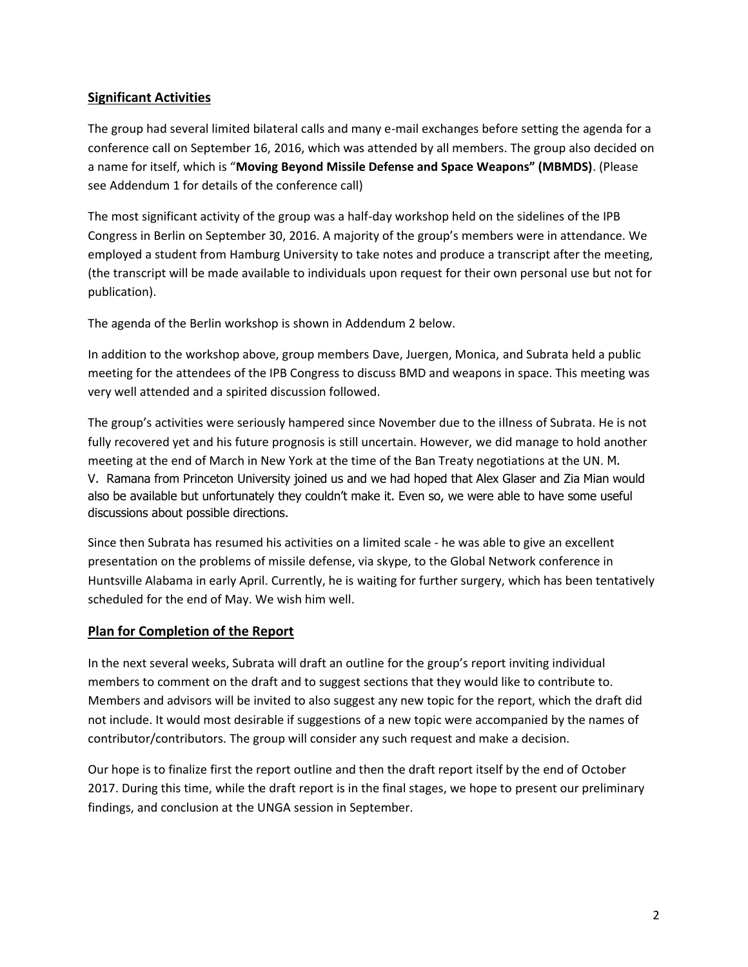### **Significant Activities**

The group had several limited bilateral calls and many e-mail exchanges before setting the agenda for a conference call on September 16, 2016, which was attended by all members. The group also decided on a name for itself, which is "**Moving Beyond Missile Defense and Space Weapons" (MBMDS)**. (Please see Addendum 1 for details of the conference call)

The most significant activity of the group was a half-day workshop held on the sidelines of the IPB Congress in Berlin on September 30, 2016. A majority of the group's members were in attendance. We employed a student from Hamburg University to take notes and produce a transcript after the meeting, (the transcript will be made available to individuals upon request for their own personal use but not for publication).

The agenda of the Berlin workshop is shown in Addendum 2 below.

In addition to the workshop above, group members Dave, Juergen, Monica, and Subrata held a public meeting for the attendees of the IPB Congress to discuss BMD and weapons in space. This meeting was very well attended and a spirited discussion followed.

The group's activities were seriously hampered since November due to the illness of Subrata. He is not fully recovered yet and his future prognosis is still uncertain. However, we did manage to hold another meeting at the end of March in New York at the time of the Ban Treaty negotiations at the UN. M. V. Ramana from Princeton University joined us and we had hoped that Alex Glaser and Zia Mian would also be available but unfortunately they couldn't make it. Even so, we were able to have some useful discussions about possible directions.

Since then Subrata has resumed his activities on a limited scale - he was able to give an excellent presentation on the problems of missile defense, via skype, to the Global Network conference in Huntsville Alabama in early April. Currently, he is waiting for further surgery, which has been tentatively scheduled for the end of May. We wish him well.

### **Plan for Completion of the Report**

In the next several weeks, Subrata will draft an outline for the group's report inviting individual members to comment on the draft and to suggest sections that they would like to contribute to. Members and advisors will be invited to also suggest any new topic for the report, which the draft did not include. It would most desirable if suggestions of a new topic were accompanied by the names of contributor/contributors. The group will consider any such request and make a decision.

Our hope is to finalize first the report outline and then the draft report itself by the end of October 2017. During this time, while the draft report is in the final stages, we hope to present our preliminary findings, and conclusion at the UNGA session in September.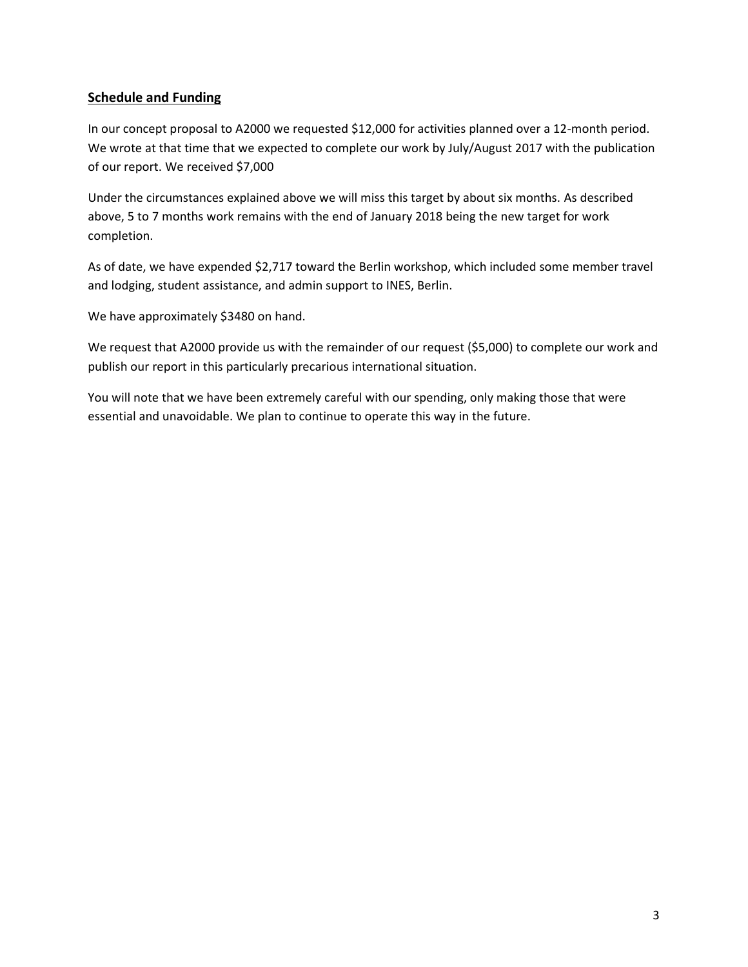### **Schedule and Funding**

In our concept proposal to A2000 we requested \$12,000 for activities planned over a 12-month period. We wrote at that time that we expected to complete our work by July/August 2017 with the publication of our report. We received \$7,000

Under the circumstances explained above we will miss this target by about six months. As described above, 5 to 7 months work remains with the end of January 2018 being the new target for work completion.

As of date, we have expended \$2,717 toward the Berlin workshop, which included some member travel and lodging, student assistance, and admin support to INES, Berlin.

We have approximately \$3480 on hand.

We request that A2000 provide us with the remainder of our request (\$5,000) to complete our work and publish our report in this particularly precarious international situation.

You will note that we have been extremely careful with our spending, only making those that were essential and unavoidable. We plan to continue to operate this way in the future.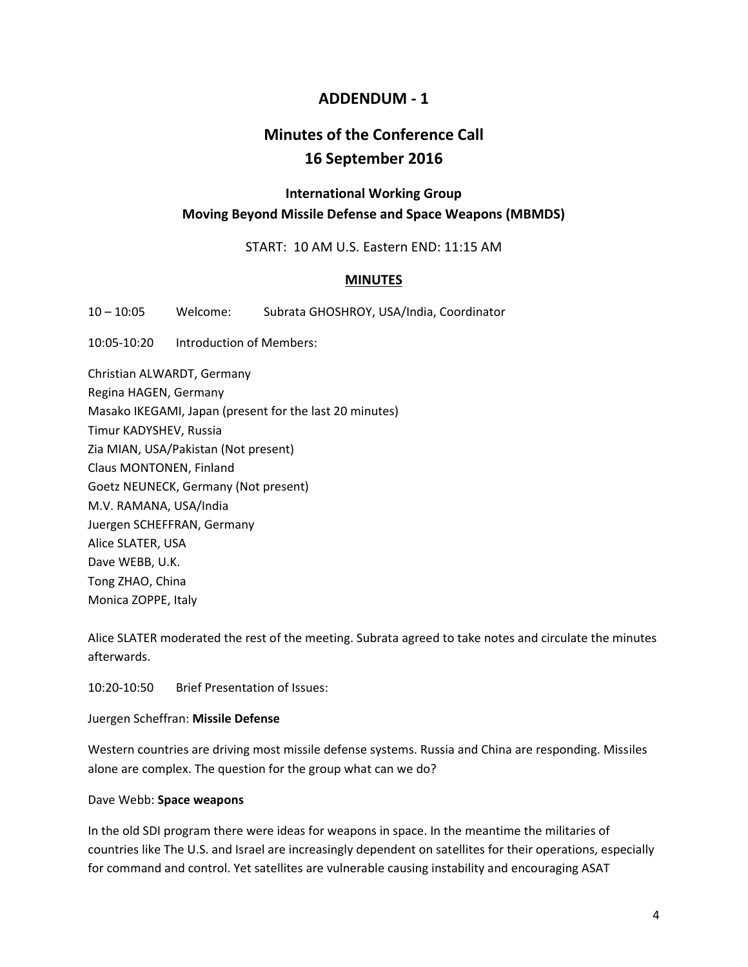## **ADDENDUM - 1**

# **Minutes of the Conference Call 16 September 2016**

## **International Working Group Moving Beyond Missile Defense and Space Weapons (MBMDS)**

START: 10 AM U.S. Eastern END: 11:15 AM

### **MINUTES**

10 – 10:05 Welcome: Subrata GHOSHROY, USA/India, Coordinator

10:05-10:20 Introduction of Members:

Christian ALWARDT, Germany Regina HAGEN, Germany Masako IKEGAMI, Japan (present for the last 20 minutes) Timur KADYSHEV, Russia Zia MIAN, USA/Pakistan (Not present) Claus MONTONEN, Finland Goetz NEUNECK, Germany (Not present) M.V. RAMANA, USA/India Juergen SCHEFFRAN, Germany Alice SLATER, USA Dave WEBB, U.K. Tong ZHAO, China Monica ZOPPE, Italy

Alice SLATER moderated the rest of the meeting. Subrata agreed to take notes and circulate the minutes afterwards.

10:20-10:50 Brief Presentation of Issues:

### Juergen Scheffran: **Missile Defense**

Western countries are driving most missile defense systems. Russia and China are responding. Missiles alone are complex. The question for the group what can we do?

#### Dave Webb: **Space weapons**

In the old SDI program there were ideas for weapons in space. In the meantime the militaries of countries like The U.S. and Israel are increasingly dependent on satellites for their operations, especially for command and control. Yet satellites are vulnerable causing instability and encouraging ASAT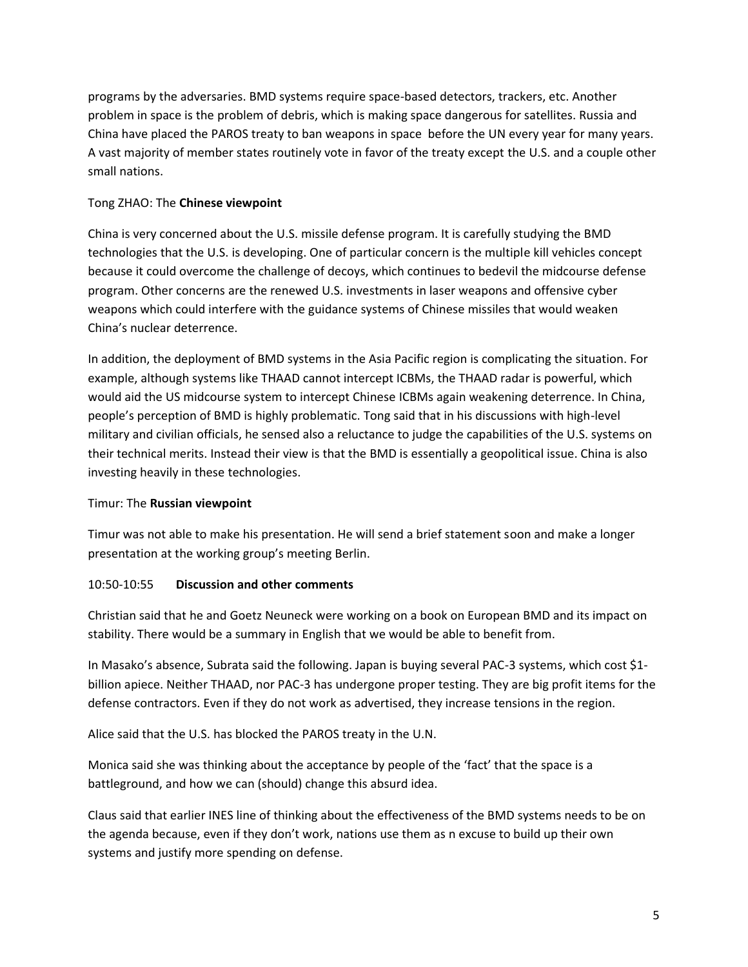programs by the adversaries. BMD systems require space-based detectors, trackers, etc. Another problem in space is the problem of debris, which is making space dangerous for satellites. Russia and China have placed the PAROS treaty to ban weapons in space before the UN every year for many years. A vast majority of member states routinely vote in favor of the treaty except the U.S. and a couple other small nations.

### Tong ZHAO: The **Chinese viewpoint**

China is very concerned about the U.S. missile defense program. It is carefully studying the BMD technologies that the U.S. is developing. One of particular concern is the multiple kill vehicles concept because it could overcome the challenge of decoys, which continues to bedevil the midcourse defense program. Other concerns are the renewed U.S. investments in laser weapons and offensive cyber weapons which could interfere with the guidance systems of Chinese missiles that would weaken China's nuclear deterrence.

In addition, the deployment of BMD systems in the Asia Pacific region is complicating the situation. For example, although systems like THAAD cannot intercept ICBMs, the THAAD radar is powerful, which would aid the US midcourse system to intercept Chinese ICBMs again weakening deterrence. In China, people's perception of BMD is highly problematic. Tong said that in his discussions with high-level military and civilian officials, he sensed also a reluctance to judge the capabilities of the U.S. systems on their technical merits. Instead their view is that the BMD is essentially a geopolitical issue. China is also investing heavily in these technologies.

### Timur: The **Russian viewpoint**

Timur was not able to make his presentation. He will send a brief statement soon and make a longer presentation at the working group's meeting Berlin.

### 10:50-10:55 **Discussion and other comments**

Christian said that he and Goetz Neuneck were working on a book on European BMD and its impact on stability. There would be a summary in English that we would be able to benefit from.

In Masako's absence, Subrata said the following. Japan is buying several PAC-3 systems, which cost \$1 billion apiece. Neither THAAD, nor PAC-3 has undergone proper testing. They are big profit items for the defense contractors. Even if they do not work as advertised, they increase tensions in the region.

Alice said that the U.S. has blocked the PAROS treaty in the U.N.

Monica said she was thinking about the acceptance by people of the 'fact' that the space is a battleground, and how we can (should) change this absurd idea.

Claus said that earlier INES line of thinking about the effectiveness of the BMD systems needs to be on the agenda because, even if they don't work, nations use them as n excuse to build up their own systems and justify more spending on defense.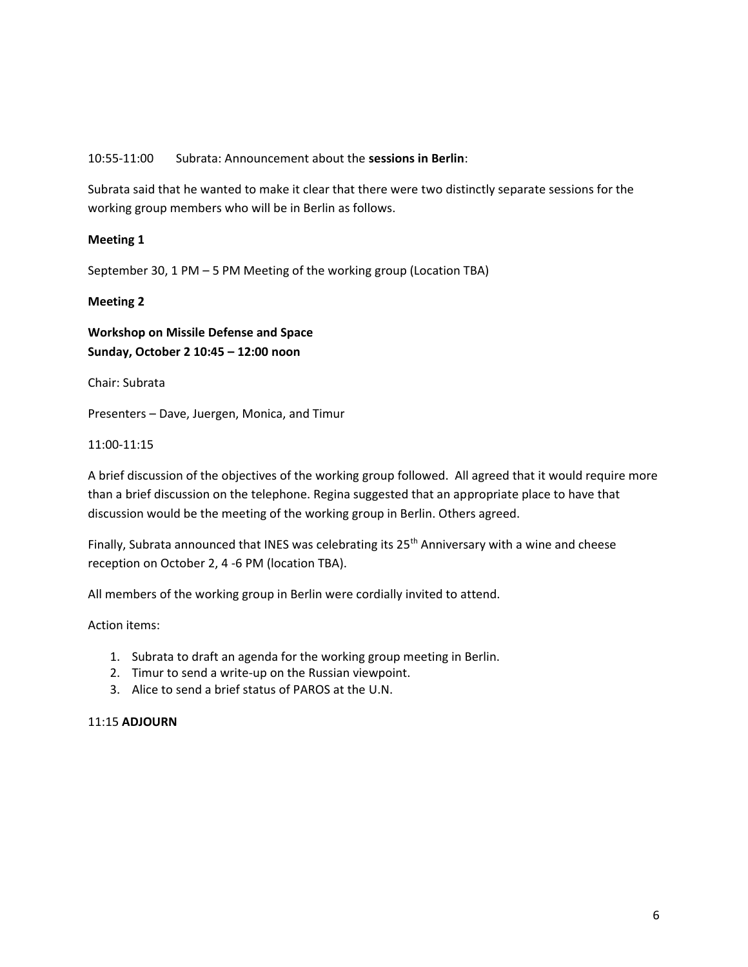### 10:55-11:00 Subrata: Announcement about the **sessions in Berlin**:

Subrata said that he wanted to make it clear that there were two distinctly separate sessions for the working group members who will be in Berlin as follows.

### **Meeting 1**

September 30, 1 PM – 5 PM Meeting of the working group (Location TBA)

### **Meeting 2**

**Workshop on Missile Defense and Space Sunday, October 2 10:45 – 12:00 noon**

Chair: Subrata

Presenters – Dave, Juergen, Monica, and Timur

### 11:00-11:15

A brief discussion of the objectives of the working group followed. All agreed that it would require more than a brief discussion on the telephone. Regina suggested that an appropriate place to have that discussion would be the meeting of the working group in Berlin. Others agreed.

Finally, Subrata announced that INES was celebrating its 25<sup>th</sup> Anniversary with a wine and cheese reception on October 2, 4 -6 PM (location TBA).

All members of the working group in Berlin were cordially invited to attend.

### Action items:

- 1. Subrata to draft an agenda for the working group meeting in Berlin.
- 2. Timur to send a write-up on the Russian viewpoint.
- 3. Alice to send a brief status of PAROS at the U.N.

#### 11:15 **ADJOURN**